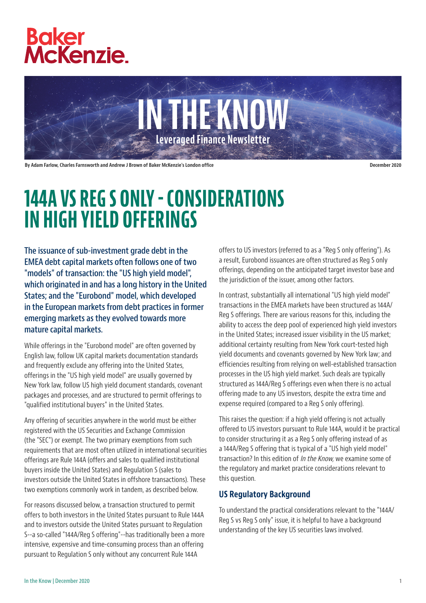



By Adam Farlow, Charles Farnsworth and Andrew J Brown of Baker McKenzie's London office December 2020 and December 2020

# 144A VS REG S ONLY - CONSIDERATIONS IN HIGH YIELD OFFERINGS

The issuance of sub-investment grade debt in the EMEA debt capital markets often follows one of two "models" of transaction: the "US high yield model", which originated in and has a long history in the United States; and the "Eurobond" model, which developed in the European markets from debt practices in former emerging markets as they evolved towards more mature capital markets.

While offerings in the "Eurobond model" are often governed by English law, follow UK capital markets documentation standards and frequently exclude any offering into the United States, offerings in the "US high yield model" are usually governed by New York law, follow US high yield document standards, covenant packages and processes, and are structured to permit offerings to "qualified institutional buyers" in the United States.

Any offering of securities anywhere in the world must be either registered with the US Securities and Exchange Commission (the "SEC") or exempt. The two primary exemptions from such requirements that are most often utilized in international securities offerings are Rule 144A (offers and sales to qualified institutional buyers inside the United States) and Regulation S (sales to investors outside the United States in offshore transactions). These two exemptions commonly work in tandem, as described below.

For reasons discussed below, a transaction structured to permit offers to both investors in the United States pursuant to Rule 144A and to investors outside the United States pursuant to Regulation S--a so-called "144A/Reg S offering"--has traditionally been a more intensive, expensive and time-consuming process than an offering pursuant to Regulation S only without any concurrent Rule 144A

offers to US investors (referred to as a "Reg S only offering"). As a result, Eurobond issuances are often structured as Reg S only offerings, depending on the anticipated target investor base and the jurisdiction of the issuer, among other factors.

In contrast, substantially all international "US high yield model" transactions in the EMEA markets have been structured as 144A/ Reg S offerings. There are various reasons for this, including the ability to access the deep pool of experienced high yield investors in the United States; increased issuer visibility in the US market; additional certainty resulting from New York court-tested high yield documents and covenants governed by New York law; and efficiencies resulting from relying on well-established transaction processes in the US high yield market. Such deals are typically structured as 144A/Reg S offerings even when there is no actual offering made to any US investors, despite the extra time and expense required (compared to a Reg S only offering).

This raises the question: if a high yield offering is not actually offered to US investors pursuant to Rule 144A, would it be practical to consider structuring it as a Reg S only offering instead of as a 144A/Reg S offering that is typical of a "US high yield model" transaction? In this edition of *In the Know*, we examine some of the regulatory and market practice considerations relevant to this question.

## US Regulatory Background

To understand the practical considerations relevant to the "144A/ Reg S vs Reg S only" issue, it is helpful to have a background understanding of the key US securities laws involved.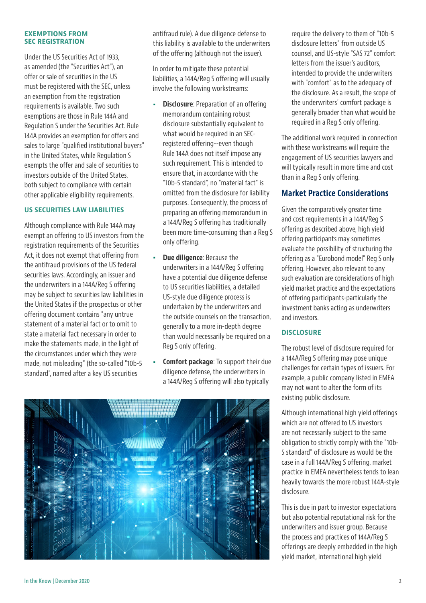#### EXEMPTIONS FROM SEC REGISTRATION

Under the US Securities Act of 1933, as amended (the "Securities Act"), an offer or sale of securities in the US must be registered with the SEC, unless an exemption from the registration requirements is available. Two such exemptions are those in Rule 144A and Regulation S under the Securities Act. Rule 144A provides an exemption for offers and sales to large "qualified institutional buyers" in the United States, while Regulation S exempts the offer and sale of securities to investors outside of the United States, both subject to compliance with certain other applicable eligibility requirements.

#### US SECURITIES LAW LIABILITIES

Although compliance with Rule 144A may exempt an offering to US investors from the registration requirements of the Securities Act, it does not exempt that offering from the antifraud provisions of the US federal securities laws. Accordingly, an issuer and the underwriters in a 144A/Reg S offering may be subject to securities law liabilities in the United States if the prospectus or other offering document contains "any untrue statement of a material fact or to omit to state a material fact necessary in order to make the statements made, in the light of the circumstances under which they were made, not misleading" (the so-called "10b-5 standard", named after a key US securities

antifraud rule). A due diligence defense to this liability is available to the underwriters of the offering (although not the issuer).

In order to mitigate these potential liabilities, a 144A/Reg S offering will usually involve the following workstreams:

- Disclosure: Preparation of an offering memorandum containing robust disclosure substantially equivalent to what would be required in an SECregistered offering--even though Rule 144A does not itself impose any such requirement. This is intended to ensure that, in accordance with the "10b-5 standard", no "material fact" is omitted from the disclosure for liability purposes. Consequently, the process of preparing an offering memorandum in a 144A/Reg S offering has traditionally been more time-consuming than a Reg S only offering.
- Due diligence: Because the underwriters in a 144A/Reg S offering have a potential due diligence defense to US securities liabilities, a detailed US-style due diligence process is undertaken by the underwriters and the outside counsels on the transaction, generally to a more in-depth degree than would necessarily be required on a Reg S only offering.
- Comfort package: To support their due diligence defense, the underwriters in a 144A/Reg S offering will also typically



require the delivery to them of "10b-5 disclosure letters" from outside US counsel, and US-style "SAS 72" comfort letters from the issuer's auditors, intended to provide the underwriters with "comfort" as to the adequacy of the disclosure. As a result, the scope of the underwriters' comfort package is generally broader than what would be required in a Reg S only offering.

The additional work required in connection with these workstreams will require the engagement of US securities lawyers and will typically result in more time and cost than in a Reg S only offering.

#### Market Practice Considerations

Given the comparatively greater time and cost requirements in a 144A/Reg S offering as described above, high yield offering participants may sometimes evaluate the possibility of structuring the offering as a "Eurobond model" Reg S only offering. However, also relevant to any such evaluation are considerations of high yield market practice and the expectations of offering participants-particularly the investment banks acting as underwriters and investors.

#### **DISCLOSURE**

The robust level of disclosure required for a 144A/Reg S offering may pose unique challenges for certain types of issuers. For example, a public company listed in EMEA may not want to alter the form of its existing public disclosure.

Although international high yield offerings which are not offered to US investors are not necessarily subject to the same obligation to strictly comply with the "10b-5 standard" of disclosure as would be the case in a full 144A/Reg S offering, market practice in EMEA nevertheless tends to lean heavily towards the more robust 144A-style disclosure.

This is due in part to investor expectations but also potential reputational risk for the underwriters and issuer group. Because the process and practices of 144A/Reg S offerings are deeply embedded in the high yield market, international high yield